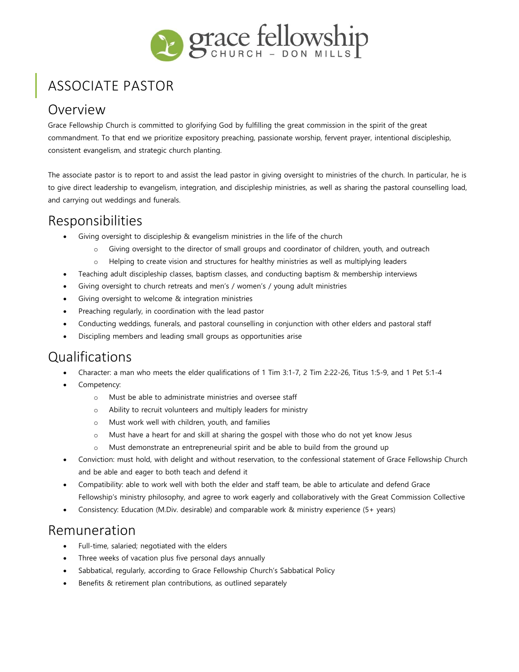

# ASSOCIATE PASTOR

### Overview

Grace Fellowship Church is committed to glorifying God by fulfilling the great commission in the spirit of the great commandment. To that end we prioritize expository preaching, passionate worship, fervent prayer, intentional discipleship, consistent evangelism, and strategic church planting.

The associate pastor is to report to and assist the lead pastor in giving oversight to ministries of the church. In particular, he is to give direct leadership to evangelism, integration, and discipleship ministries, as well as sharing the pastoral counselling load, and carrying out weddings and funerals.

### Responsibilities

- Giving oversight to discipleship & evangelism ministries in the life of the church
	- o Giving oversight to the director of small groups and coordinator of children, youth, and outreach
	- o Helping to create vision and structures for healthy ministries as well as multiplying leaders
- Teaching adult discipleship classes, baptism classes, and conducting baptism & membership interviews
- Giving oversight to church retreats and men's / women's / young adult ministries
- Giving oversight to welcome & integration ministries
- Preaching regularly, in coordination with the lead pastor
- Conducting weddings, funerals, and pastoral counselling in conjunction with other elders and pastoral staff
- Discipling members and leading small groups as opportunities arise

## Qualifications

- Character: a man who meets the elder qualifications of 1 Tim 3:1-7, 2 Tim 2:22-26, Titus 1:5-9, and 1 Pet 5:1-4
- Competency:
	- o Must be able to administrate ministries and oversee staff
	- o Ability to recruit volunteers and multiply leaders for ministry
	- o Must work well with children, youth, and families
	- o Must have a heart for and skill at sharing the gospel with those who do not yet know Jesus
	- o Must demonstrate an entrepreneurial spirit and be able to build from the ground up
- Conviction: must hold, with delight and without reservation, to the confessional statement of Grace Fellowship Church and be able and eager to both teach and defend it
- Compatibility: able to work well with both the elder and staff team, be able to articulate and defend Grace Fellowship's ministry philosophy, and agree to work eagerly and collaboratively with the Great Commission Collective
- Consistency: Education (M.Div. desirable) and comparable work & ministry experience (5+ years)

#### Remuneration

- Full-time, salaried; negotiated with the elders
- Three weeks of vacation plus five personal days annually
- Sabbatical, regularly, according to Grace Fellowship Church's Sabbatical Policy
- Benefits & retirement plan contributions, as outlined separately